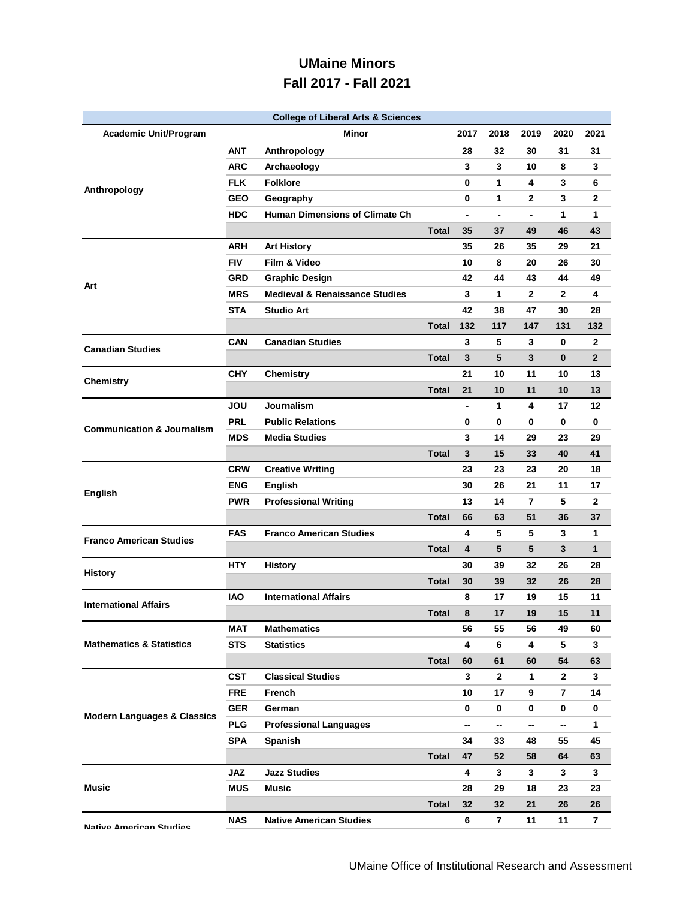## **UMaine Minors Fall 2017 - Fall 2021**

| <b>College of Liberal Arts &amp; Sciences</b> |            |                                           |              |                |                              |              |              |                |
|-----------------------------------------------|------------|-------------------------------------------|--------------|----------------|------------------------------|--------------|--------------|----------------|
| <b>Academic Unit/Program</b>                  |            | Minor                                     |              | 2017           | 2018                         | 2019         | 2020         | 2021           |
|                                               | <b>ANT</b> | Anthropology                              |              | 28             | 32                           | 30           | 31           | 31             |
|                                               | <b>ARC</b> | Archaeology                               |              | 3              | 3                            | 10           | 8            | 3              |
|                                               | <b>FLK</b> | <b>Folklore</b>                           |              | 0              | 1                            | 4            | 3            | 6              |
| Anthropology                                  | <b>GEO</b> | Geography                                 |              | 0              | 1                            | $\mathbf{2}$ | 3            | 2              |
|                                               | <b>HDC</b> | Human Dimensions of Climate Ch            |              | $\blacksquare$ | $\qquad \qquad \blacksquare$ |              | 1            | 1              |
|                                               |            |                                           | Total        | 35             | 37                           | 49           | 46           | 43             |
|                                               | <b>ARH</b> | <b>Art History</b>                        |              | 35             | 26                           | 35           | 29           | 21             |
|                                               | <b>FIV</b> | Film & Video                              |              | 10             | 8                            | 20           | 26           | 30             |
|                                               | GRD        | <b>Graphic Design</b>                     |              | 42             | 44                           | 43           | 44           | 49             |
| Art                                           | <b>MRS</b> | <b>Medieval &amp; Renaissance Studies</b> |              | 3              | 1                            | $\mathbf{2}$ | $\mathbf{2}$ | 4              |
|                                               | <b>STA</b> | <b>Studio Art</b>                         |              | 42             | 38                           | 47           | 30           | 28             |
|                                               |            |                                           | <b>Total</b> | 132            | 117                          | 147          | 131          | 132            |
|                                               | <b>CAN</b> | <b>Canadian Studies</b>                   |              | 3              | 5                            | 3            | $\bf{0}$     | $\mathbf 2$    |
| <b>Canadian Studies</b>                       |            |                                           | <b>Total</b> | 3              | 5                            | 3            | $\bf{0}$     | $\overline{2}$ |
|                                               | <b>CHY</b> | <b>Chemistry</b>                          |              | 21             | 10                           | 11           | 10           | 13             |
| <b>Chemistry</b>                              |            |                                           | <b>Total</b> | 21             | 10                           | 11           | 10           | 13             |
|                                               | JOU        | Journalism                                |              | $\blacksquare$ | $\mathbf{1}$                 | 4            | 17           | 12             |
|                                               | <b>PRL</b> | <b>Public Relations</b>                   |              | 0              | 0                            | 0            | 0            | 0              |
| <b>Communication &amp; Journalism</b>         | <b>MDS</b> | <b>Media Studies</b>                      |              | 3              | 14                           | 29           | 23           | 29             |
|                                               |            |                                           | <b>Total</b> | 3              | 15                           | 33           | 40           | 41             |
|                                               | <b>CRW</b> | <b>Creative Writing</b>                   |              | 23             | 23                           | 23           | 20           | 18             |
|                                               | <b>ENG</b> | <b>English</b>                            |              | 30             | 26                           | 21           | 11           | 17             |
| <b>English</b>                                | <b>PWR</b> | <b>Professional Writing</b>               |              | 13             | 14                           | 7            | 5            | 2              |
|                                               |            |                                           | <b>Total</b> | 66             | 63                           | 51           | 36           | 37             |
|                                               | <b>FAS</b> | <b>Franco American Studies</b>            |              | 4              | 5                            | 5            | 3            | 1              |
| <b>Franco American Studies</b>                |            |                                           | Total        | 4              | 5                            | 5            | 3            | $\mathbf{1}$   |
| <b>History</b>                                | <b>HTY</b> | <b>History</b>                            |              | 30             | 39                           | 32           | 26           | 28             |
|                                               |            |                                           | <b>Total</b> | 30             | 39                           | 32           | 26           | 28             |
| <b>International Affairs</b>                  | <b>IAO</b> | <b>International Affairs</b>              |              | 8              | 17                           | 19           | 15           | 11             |
|                                               |            |                                           | <b>Total</b> | 8              | 17                           | 19           | 15           | 11             |
| <b>Mathematics &amp; Statistics</b>           | MAT        | <b>Mathematics</b>                        |              | 56             | 55                           | 56           | 49           | 60             |
|                                               | <b>STS</b> | <b>Statistics</b>                         |              | 4              | 6                            | 4            | 5            | 3              |
|                                               |            |                                           | <b>Total</b> | 60             | 61                           | 60           | 54           | 63             |
| <b>Modern Languages &amp; Classics</b>        | <b>CST</b> | <b>Classical Studies</b>                  |              | 3              | $\mathbf{2}$                 | 1            | $\mathbf{2}$ | 3              |
|                                               | <b>FRE</b> | French                                    |              | 10             | 17                           | 9            | 7            | 14             |
|                                               | <b>GER</b> | German                                    |              | 0              | 0                            | 0            | 0            | 0              |
|                                               | <b>PLG</b> | <b>Professional Languages</b>             |              | --             | --                           | --           | --           | 1              |
|                                               | <b>SPA</b> | Spanish                                   |              | 34             | 33                           | 48           | 55           | 45             |
|                                               |            |                                           | <b>Total</b> | 47             | 52                           | 58           | 64           | 63             |
| Music                                         | <b>JAZ</b> | <b>Jazz Studies</b>                       |              | 4              | 3                            | 3            | 3            | 3              |
|                                               | <b>MUS</b> | <b>Music</b>                              |              | 28             | 29                           | 18           | 23           | 23             |
|                                               |            |                                           | <b>Total</b> | 32             | 32                           | 21           | 26           | 26             |
| Native American Studies                       | <b>NAS</b> | <b>Native American Studies</b>            |              | 6              | $\overline{7}$               | 11           | 11           | $\overline{7}$ |

**Native American Studies**